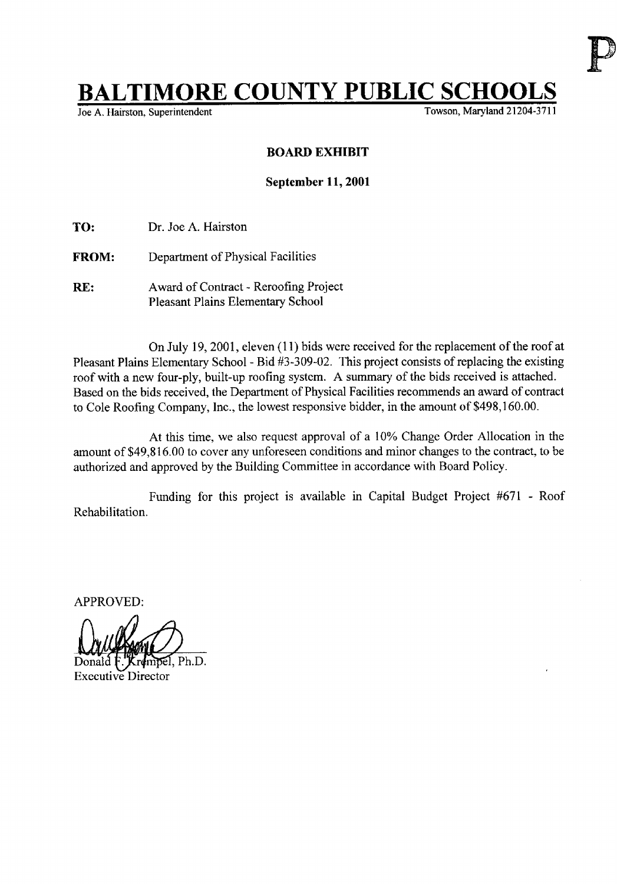## **BALTIMORE COUNTY PUBLIC SCHOOLS**

Joe A. Hairston, Superintendent

## BOARD EXHIBIT

## September 11, 2001

TO: Dr. Joe A. Hairston

- FROM: Department of Physical Facilities
- RE: Award of Contract Reroofing Project Pleasant Plains Elementary School

On July 19, 2001, eleven (11) bids were received for the replacement of the roof at Pleasant Plains Elementary School - Bid #3-309-02. This project consists of replacing the existing roof with <sup>a</sup> new four-ply, built-up roofing system. A summary of the bids received is attached. Based on the bids received, the Department of Physical Facilities recommends an award of contract to Cole Roofing Company, Inc., the lowest responsive bidder, in the amount of \$498,160.00.

At this time, we also request approval of <sup>a</sup> 10% Change Order Allocation in the amount of \$49,816.00 to cover any unforeseen conditions and minor changes to the contract, to be authorized and approved by the Building Committee in accordance with Board Policy.

Rehabilitation. Funding for this project is available in Capital Budget Project #671 - Roof

APPROVED:

k *i*v/lvama  $W \neq W$ වේ. Ph.D.

Executive Director